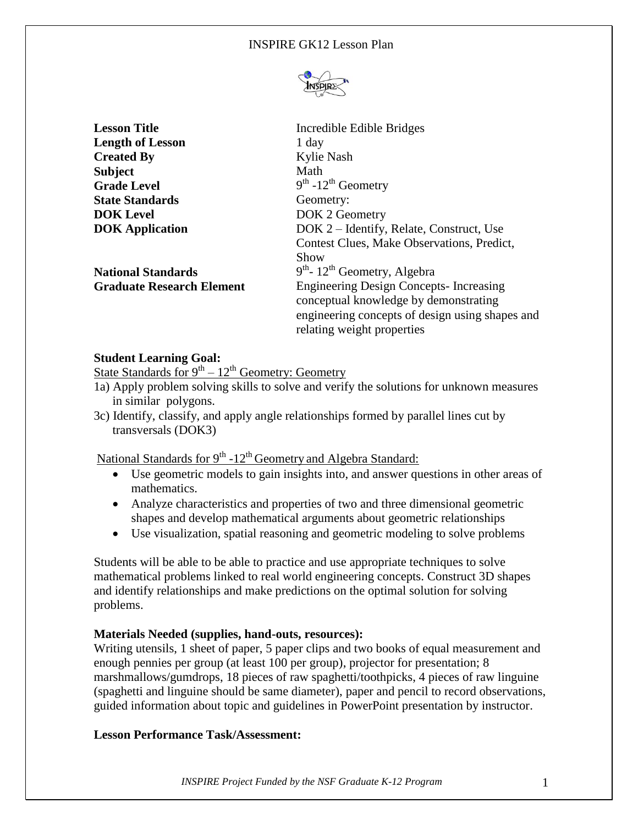

| <b>Lesson Title</b>              | Incredible Edible Bridges                       |
|----------------------------------|-------------------------------------------------|
| <b>Length of Lesson</b>          | 1 day                                           |
| <b>Created By</b>                | Kylie Nash                                      |
| <b>Subject</b>                   | Math                                            |
| <b>Grade Level</b>               | $9th - 12th$ Geometry                           |
| <b>State Standards</b>           | Geometry:                                       |
| <b>DOK</b> Level                 | DOK 2 Geometry                                  |
| <b>DOK</b> Application           | DOK 2 – Identify, Relate, Construct, Use        |
|                                  | Contest Clues, Make Observations, Predict,      |
|                                  | Show                                            |
| <b>National Standards</b>        | $9th$ - 12 <sup>th</sup> Geometry, Algebra      |
| <b>Graduate Research Element</b> | <b>Engineering Design Concepts-Increasing</b>   |
|                                  | conceptual knowledge by demonstrating           |
|                                  | engineering concepts of design using shapes and |
|                                  | relating weight properties                      |

# **Student Learning Goal:**

State Standards for  $9^{th} - 12^{th}$  Geometry: Geometry

- 1a) Apply problem solving skills to solve and verify the solutions for unknown measures in similar polygons.
- 3c) Identify, classify, and apply angle relationships formed by parallel lines cut by transversals (DOK3)

National Standards for 9<sup>th</sup> -12<sup>th</sup> Geometry and Algebra Standard:

- Use geometric models to gain insights into, and answer questions in other areas of mathematics.
- Analyze characteristics and properties of two and three dimensional geometric shapes and develop mathematical arguments about geometric relationships
- Use visualization, spatial reasoning and geometric modeling to solve problems

Students will be able to be able to practice and use appropriate techniques to solve mathematical problems linked to real world engineering concepts. Construct 3D shapes and identify relationships and make predictions on the optimal solution for solving problems.

## **Materials Needed (supplies, hand-outs, resources):**

Writing utensils, 1 sheet of paper, 5 paper clips and two books of equal measurement and enough pennies per group (at least 100 per group), projector for presentation; 8 marshmallows/gumdrops, 18 pieces of raw spaghetti/toothpicks, 4 pieces of raw linguine (spaghetti and linguine should be same diameter), paper and pencil to record observations, guided information about topic and guidelines in PowerPoint presentation by instructor.

## **Lesson Performance Task/Assessment:**

*INSPIRE Project Funded by the NSF Graduate K-12 Program* 1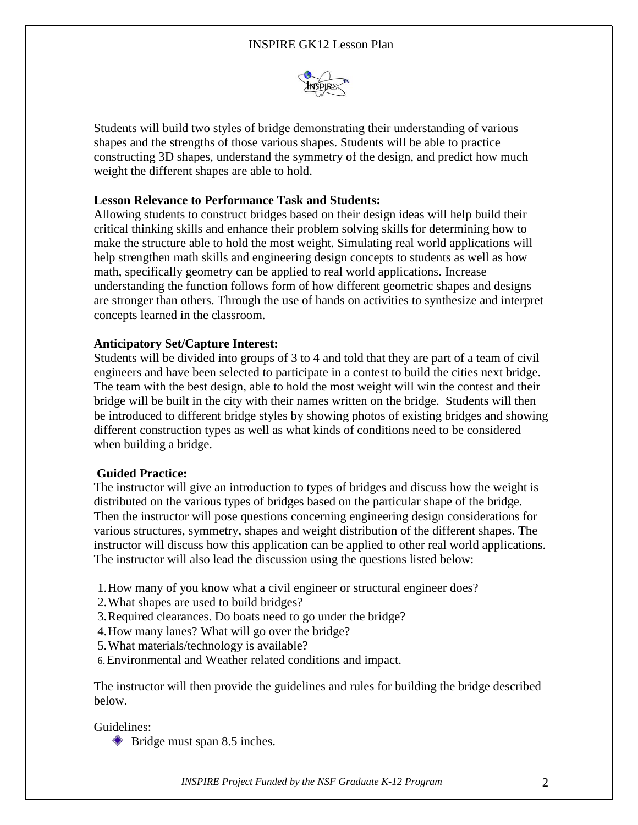

Students will build two styles of bridge demonstrating their understanding of various shapes and the strengths of those various shapes. Students will be able to practice constructing 3D shapes, understand the symmetry of the design, and predict how much weight the different shapes are able to hold.

# **Lesson Relevance to Performance Task and Students:**

Allowing students to construct bridges based on their design ideas will help build their critical thinking skills and enhance their problem solving skills for determining how to make the structure able to hold the most weight. Simulating real world applications will help strengthen math skills and engineering design concepts to students as well as how math, specifically geometry can be applied to real world applications. Increase understanding the function follows form of how different geometric shapes and designs are stronger than others. Through the use of hands on activities to synthesize and interpret concepts learned in the classroom.

## **Anticipatory Set/Capture Interest:**

Students will be divided into groups of 3 to 4 and told that they are part of a team of civil engineers and have been selected to participate in a contest to build the cities next bridge. The team with the best design, able to hold the most weight will win the contest and their bridge will be built in the city with their names written on the bridge. Students will then be introduced to different bridge styles by showing photos of existing bridges and showing different construction types as well as what kinds of conditions need to be considered when building a bridge.

## **Guided Practice:**

The instructor will give an introduction to types of bridges and discuss how the weight is distributed on the various types of bridges based on the particular shape of the bridge. Then the instructor will pose questions concerning engineering design considerations for various structures, symmetry, shapes and weight distribution of the different shapes. The instructor will discuss how this application can be applied to other real world applications. The instructor will also lead the discussion using the questions listed below:

- 1.How many of you know what a civil engineer or structural engineer does?
- 2.What shapes are used to build bridges?
- 3.Required clearances. Do boats need to go under the bridge?
- 4.How many lanes? What will go over the bridge?
- 5.What materials/technology is available?
- 6.Environmental and Weather related conditions and impact.

The instructor will then provide the guidelines and rules for building the bridge described below.

Guidelines:

Bridge must span 8.5 inches.

*INSPIRE Project Funded by the NSF Graduate K-12 Program* 2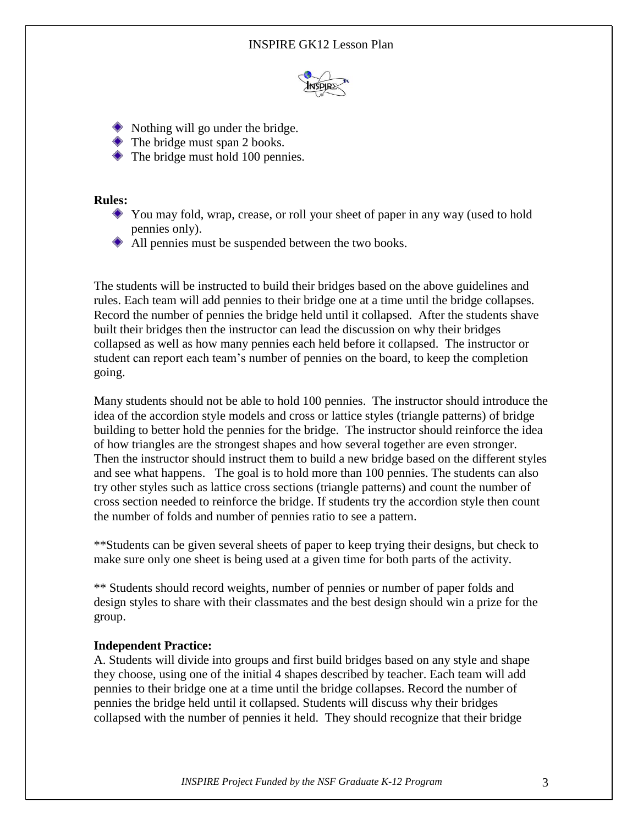### INSPIRE GK12 Lesson Plan



- $\bullet$  Nothing will go under the bridge.
- $\bullet$  The bridge must span 2 books.
- ◆ The bridge must hold 100 pennies.

#### **Rules:**

- You may fold, wrap, crease, or roll your sheet of paper in any way (used to hold pennies only).
- All pennies must be suspended between the two books.

The students will be instructed to build their bridges based on the above guidelines and rules. Each team will add pennies to their bridge one at a time until the bridge collapses. Record the number of pennies the bridge held until it collapsed. After the students shave built their bridges then the instructor can lead the discussion on why their bridges collapsed as well as how many pennies each held before it collapsed. The instructor or student can report each team's number of pennies on the board, to keep the completion going.

Many students should not be able to hold 100 pennies. The instructor should introduce the idea of the accordion style models and cross or lattice styles (triangle patterns) of bridge building to better hold the pennies for the bridge. The instructor should reinforce the idea of how triangles are the strongest shapes and how several together are even stronger. Then the instructor should instruct them to build a new bridge based on the different styles and see what happens. The goal is to hold more than 100 pennies. The students can also try other styles such as lattice cross sections (triangle patterns) and count the number of cross section needed to reinforce the bridge. If students try the accordion style then count the number of folds and number of pennies ratio to see a pattern.

\*\*Students can be given several sheets of paper to keep trying their designs, but check to make sure only one sheet is being used at a given time for both parts of the activity.

\*\* Students should record weights, number of pennies or number of paper folds and design styles to share with their classmates and the best design should win a prize for the group.

#### **Independent Practice:**

A. Students will divide into groups and first build bridges based on any style and shape they choose, using one of the initial 4 shapes described by teacher. Each team will add pennies to their bridge one at a time until the bridge collapses. Record the number of pennies the bridge held until it collapsed. Students will discuss why their bridges collapsed with the number of pennies it held. They should recognize that their bridge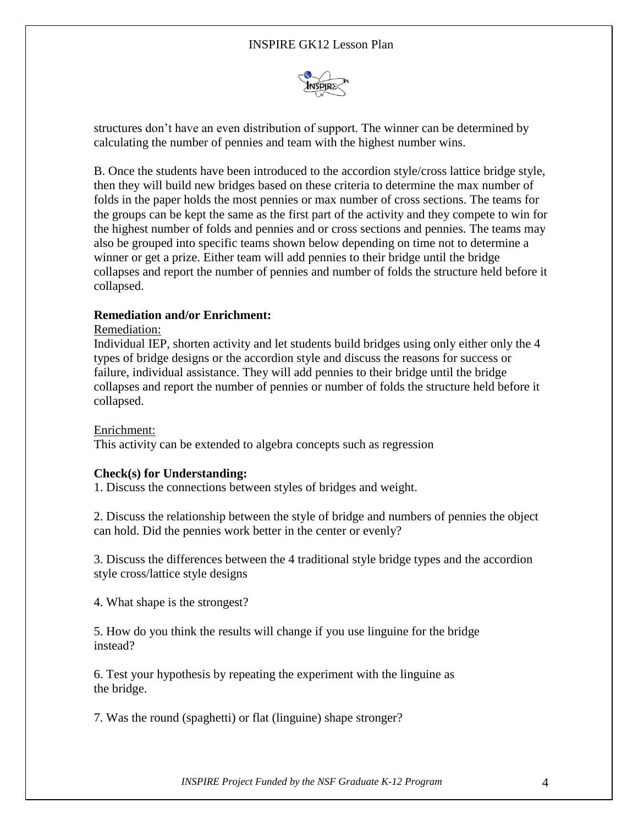## INSPIRE GK12 Lesson Plan



structures don't have an even distribution of support. The winner can be determined by calculating the number of pennies and team with the highest number wins.

B. Once the students have been introduced to the accordion style/cross lattice bridge style, then they will build new bridges based on these criteria to determine the max number of folds in the paper holds the most pennies or max number of cross sections. The teams for the groups can be kept the same as the first part of the activity and they compete to win for the highest number of folds and pennies and or cross sections and pennies. The teams may also be grouped into specific teams shown below depending on time not to determine a winner or get a prize. Either team will add pennies to their bridge until the bridge collapses and report the number of pennies and number of folds the structure held before it collapsed.

### **Remediation and/or Enrichment:**

#### Remediation:

Individual IEP, shorten activity and let students build bridges using only either only the 4 types of bridge designs or the accordion style and discuss the reasons for success or failure, individual assistance. They will add pennies to their bridge until the bridge collapses and report the number of pennies or number of folds the structure held before it collapsed.

#### Enrichment:

This activity can be extended to algebra concepts such as regression

#### **Check(s) for Understanding:**

1. Discuss the connections between styles of bridges and weight.

2. Discuss the relationship between the style of bridge and numbers of pennies the object can hold. Did the pennies work better in the center or evenly?

3. Discuss the differences between the 4 traditional style bridge types and the accordion style cross/lattice style designs

4. What shape is the strongest?

5. How do you think the results will change if you use linguine for the bridge instead?

6. Test your hypothesis by repeating the experiment with the linguine as the bridge.

7. Was the round (spaghetti) or flat (linguine) shape stronger?